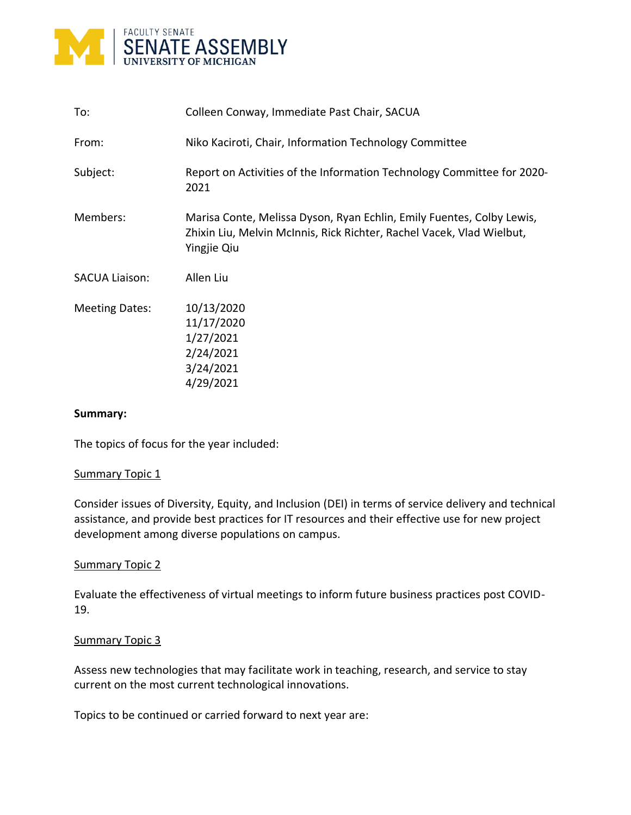

| To:                   | Colleen Conway, Immediate Past Chair, SACUA                                                                                                                   |
|-----------------------|---------------------------------------------------------------------------------------------------------------------------------------------------------------|
| From:                 | Niko Kaciroti, Chair, Information Technology Committee                                                                                                        |
| Subject:              | Report on Activities of the Information Technology Committee for 2020-<br>2021                                                                                |
| Members:              | Marisa Conte, Melissa Dyson, Ryan Echlin, Emily Fuentes, Colby Lewis,<br>Zhixin Liu, Melvin McInnis, Rick Richter, Rachel Vacek, Vlad Wielbut,<br>Yingjie Qiu |
| <b>SACUA Liaison:</b> | Allen Liu                                                                                                                                                     |
| <b>Meeting Dates:</b> | 10/13/2020<br>11/17/2020<br>1/27/2021<br>2/24/2021<br>3/24/2021<br>4/29/2021                                                                                  |

### **Summary:**

The topics of focus for the year included:

#### Summary Topic 1

Consider issues of Diversity, Equity, and Inclusion (DEI) in terms of service delivery and technical assistance, and provide best practices for IT resources and their effective use for new project development among diverse populations on campus.

#### Summary Topic 2

Evaluate the effectiveness of virtual meetings to inform future business practices post COVID-19.

#### Summary Topic 3

Assess new technologies that may facilitate work in teaching, research, and service to stay current on the most current technological innovations.

Topics to be continued or carried forward to next year are: